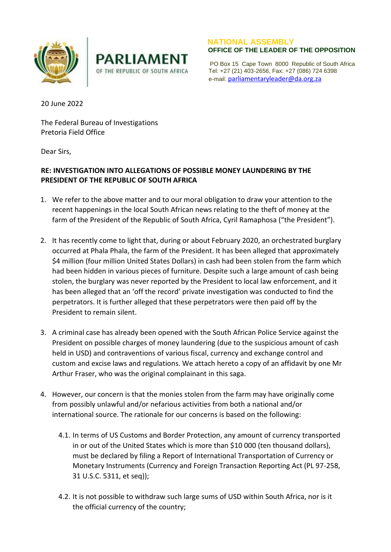



 **NATIONAL ASSEMBLY**

 PO Box 15 Cape Town 8000 Republic of South Africa OF THE REPUBLIC OF SOUTH AFRICA Tel: +27 (21) 403-2656, Fax: +27 (086) 724 6398 e-mail: [parliamentaryleader@da.org.za](mailto:parliamentaryleader@da.org.za)

20 June 2022

The Federal Bureau of Investigations Pretoria Field Office

Dear Sirs,

## **RE: INVESTIGATION INTO ALLEGATIONS OF POSSIBLE MONEY LAUNDERING BY THE PRESIDENT OF THE REPUBLIC OF SOUTH AFRICA**

- 1. We refer to the above matter and to our moral obligation to draw your attention to the recent happenings in the local South African news relating to the theft of money at the farm of the President of the Republic of South Africa, Cyril Ramaphosa ("the President").
- 2. It has recently come to light that, during or about February 2020, an orchestrated burglary occurred at Phala Phala, the farm of the President. It has been alleged that approximately \$4 million (four million United States Dollars) in cash had been stolen from the farm which had been hidden in various pieces of furniture. Despite such a large amount of cash being stolen, the burglary was never reported by the President to local law enforcement, and it has been alleged that an 'off the record' private investigation was conducted to find the perpetrators. It is further alleged that these perpetrators were then paid off by the President to remain silent.
- 3. A criminal case has already been opened with the South African Police Service against the President on possible charges of money laundering (due to the suspicious amount of cash held in USD) and contraventions of various fiscal, currency and exchange control and custom and excise laws and regulations. We attach hereto a copy of an affidavit by one Mr Arthur Fraser, who was the original complainant in this saga.
- 4. However, our concern is that the monies stolen from the farm may have originally come from possibly unlawful and/or nefarious activities from both a national and/or international source. The rationale for our concerns is based on the following:
	- 4.1. In terms of US Customs and Border Protection, any amount of currency transported in or out of the United States which is more than \$10 000 (ten thousand dollars), must be declared by filing a Report of International Transportation of Currency or Monetary Instruments (Currency and Foreign Transaction Reporting Act (PL 97-258, 31 U.S.C. 5311, et seq));
	- 4.2. It is not possible to withdraw such large sums of USD within South Africa, nor is it the official currency of the country;